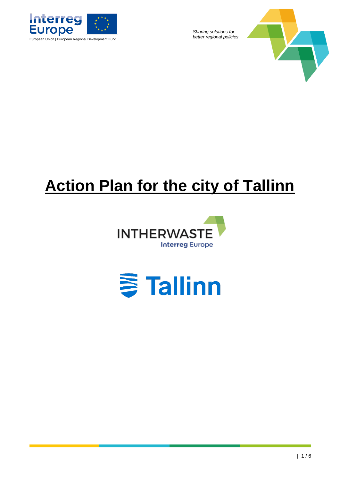

*Sharing solutions for* 



# **Action Plan for the city of Tallinn**



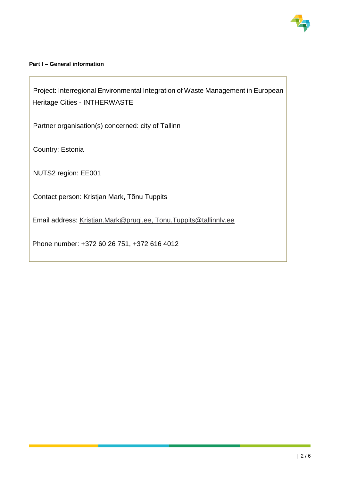

# **Part I – General information**

Project: Interregional Environmental Integration of Waste Management in European Heritage Cities - INTHERWASTE

Partner organisation(s) concerned: city of Tallinn

Country: Estonia

NUTS2 region: EE001

Contact person: Kristjan Mark, Tõnu Tuppits

Email address: [Kristjan.Mark@prugi.ee,](mailto:Kristjan.Mark@prugi.ee) Tonu.Tuppits@tallinnlv.ee

Phone number: +372 60 26 751, +372 616 4012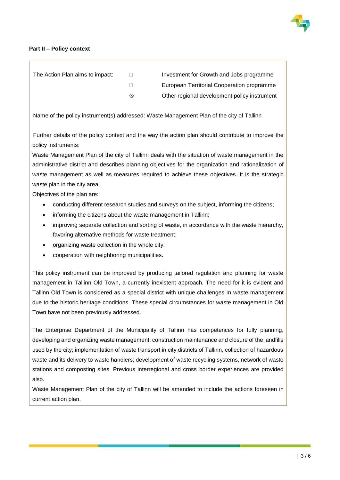

#### **Part II – Policy context**

| The Action Plan aims to impact: |   | Investment for Growth and Jobs programme     |
|---------------------------------|---|----------------------------------------------|
|                                 |   | European Territorial Cooperation programme   |
|                                 | ⊗ | Other regional development policy instrument |

Name of the policy instrument(s) addressed: Waste Management Plan of the city of Tallinn

Further details of the policy context and the way the action plan should contribute to improve the policy instruments:

Waste Management Plan of the city of Tallinn deals with the situation of waste management in the administrative district and describes planning objectives for the organization and rationalization of waste management as well as measures required to achieve these objectives. It is the strategic waste plan in the city area.

Objectives of the plan are:

- conducting different research studies and surveys on the subject, informing the citizens;
- informing the citizens about the waste management in Tallinn;
- improving separate collection and sorting of waste, in accordance with the waste hierarchy, favoring alternative methods for waste treatment;
- organizing waste collection in the whole city;
- cooperation with neighboring municipalities.

This policy instrument can be improved by producing tailored regulation and planning for waste management in Tallinn Old Town, a currently inexistent approach. The need for it is evident and Tallinn Old Town is considered as a special district with unique challenges in waste management due to the historic heritage conditions. These special circumstances for waste management in Old Town have not been previously addressed.

The Enterprise Department of the Municipality of Tallinn has competences for fully planning, developing and organizing waste management: construction maintenance and closure of the landfills used by the city; implementation of waste transport in city districts of Tallinn, collection of hazardous waste and its delivery to waste handlers; development of waste recycling systems, network of waste stations and composting sites. Previous interregional and cross border experiences are provided also.

Waste Management Plan of the city of Tallinn will be amended to include the actions foreseen in current action plan.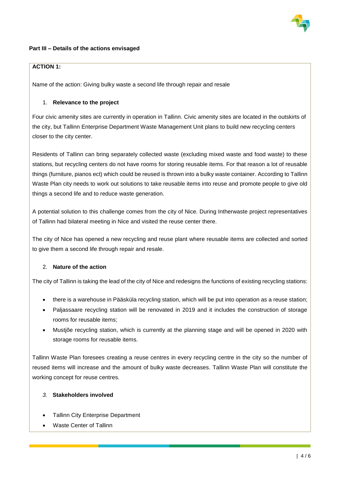

#### **Part III – Details of the actions envisaged**

# **ACTION 1:**

Name of the action: Giving bulky waste a second life through repair and resale

## 1. **Relevance to the project**

Four civic amenity sites are currently in operation in Tallinn. Civic amenity sites are located in the outskirts of the city, but Tallinn Enterprise Department Waste Management Unit plans to build new recycling centers closer to the city center.

Residents of Tallinn can bring separately collected waste (excluding mixed waste and food waste) to these stations, but recycling centers do not have rooms for storing reusable items. For that reason a lot of reusable things (furniture, pianos ect) which could be reused is thrown into a bulky waste container. According to Tallinn Waste Plan city needs to work out solutions to take reusable items into reuse and promote people to give old things a second life and to reduce waste generation.

A potential solution to this challenge comes from the city of Nice. During Intherwaste project representatives of Tallinn had bilateral meeting in Nice and visited the reuse center there.

The city of Nice has opened a new recycling and reuse plant where reusable items are collected and sorted to give them a second life through repair and resale.

#### 2. **Nature of the action**

The city of Tallinn is taking the lead of the city of Nice and redesigns the functions of existing recycling stations:

- there is a warehouse in Pääsküla recycling station, which will be put into operation as a reuse station;
- Paljassaare recycling station will be renovated in 2019 and it includes the construction of storage rooms for reusable items;
- Mustjõe recycling station, which is currently at the planning stage and will be opened in 2020 with storage rooms for reusable items.

Tallinn Waste Plan foresees creating a reuse centres in every recycling centre in the city so the number of reused items will increase and the amount of bulky waste decreases. Tallinn Waste Plan will constitute the working concept for reuse centres.

#### *3.* **Stakeholders involved**

- **Tallinn City Enterprise Department**
- Waste Center of Tallinn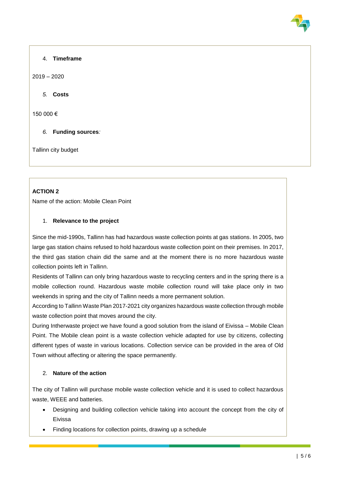# 4. **Timeframe**

2019 – 2020

*5.* **Costs**

150 000 €

*6.* **Funding sources***:*

Tallinn city budget

# **ACTION 2**

Name of the action: Mobile Clean Point

# 1. **Relevance to the project**

Since the mid-1990s, Tallinn has had hazardous waste collection points at gas stations. In 2005, two large gas station chains refused to hold hazardous waste collection point on their premises. In 2017, the third gas station chain did the same and at the moment there is no more hazardous waste collection points left in Tallinn.

Residents of Tallinn can only bring hazardous waste to recycling centers and in the spring there is a mobile collection round. Hazardous waste mobile collection round will take place only in two weekends in spring and the city of Tallinn needs a more permanent solution.

According to Tallinn Waste Plan 2017-2021 city organizes hazardous waste collection through mobile waste collection point that moves around the city.

During Intherwaste project we have found a good solution from the island of Eivissa – Mobile Clean Point. The Mobile clean point is a waste collection vehicle adapted for use by citizens, collecting different types of waste in various locations. Collection service can be provided in the area of Old Town without affecting or altering the space permanently.

# 2. **Nature of the action**

The city of Tallinn will purchase mobile waste collection vehicle and it is used to collect hazardous waste, WEEE and batteries.

- Designing and building collection vehicle taking into account the concept from the city of Eivissa
- Finding locations for collection points, drawing up a schedule